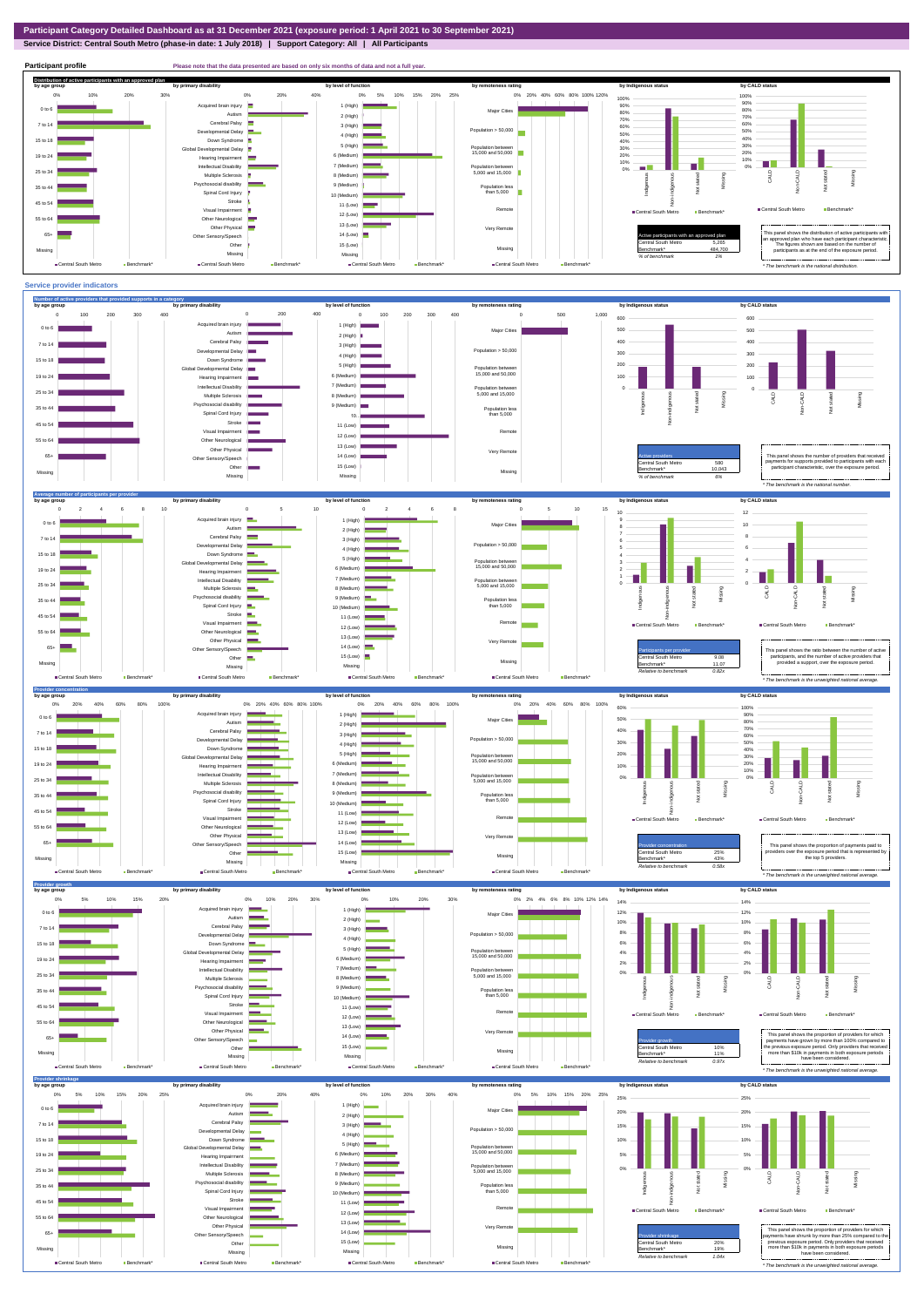**Service District: Central South Metro (phase-in date: 1 July 2018) | Support Category: All | All Participants**



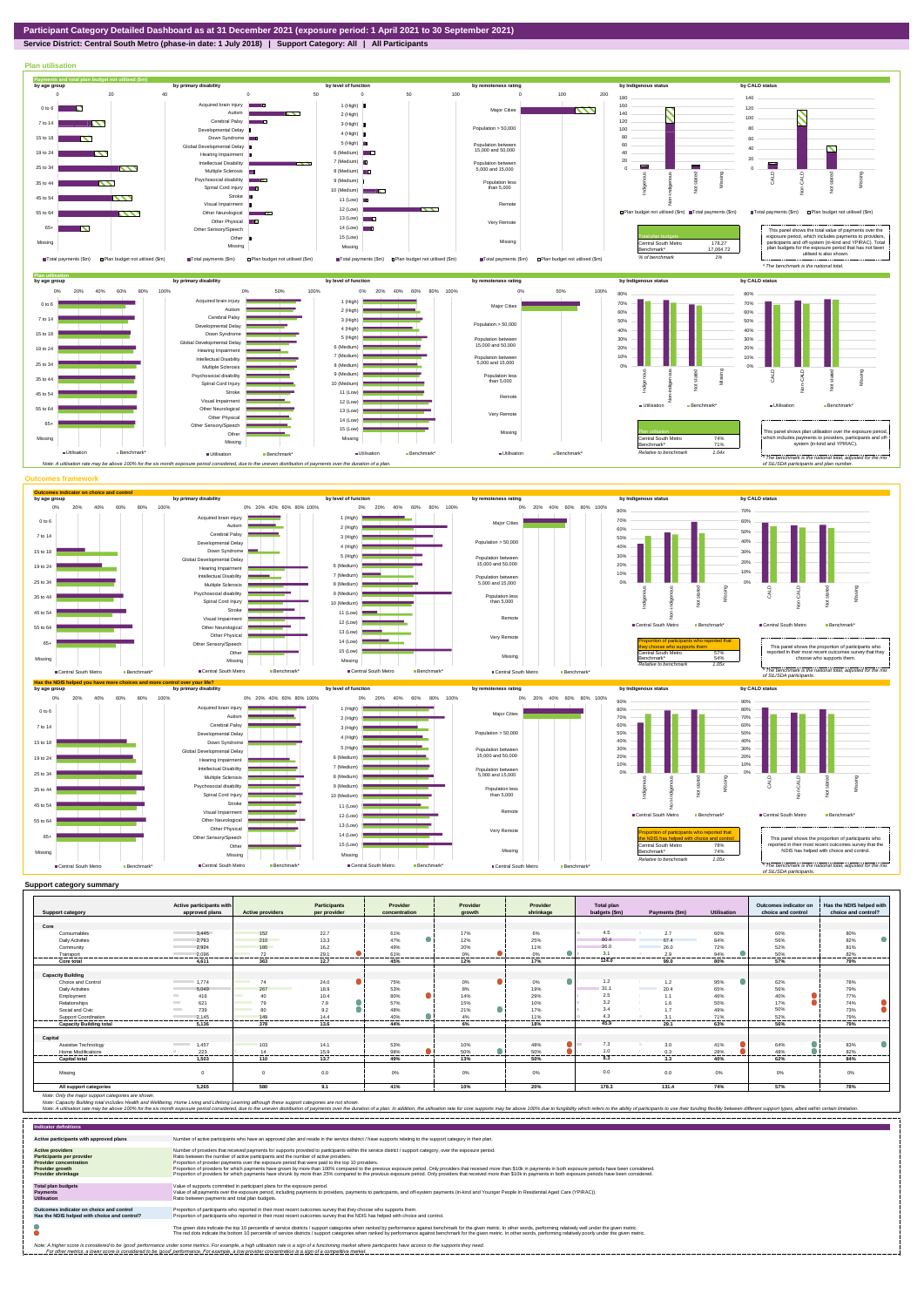## **Service District: Central South Metro (phase-in date: 1 July 2018) | Support Category: All | All Participants**



|                                | Active participants with          |                                | <b>Participants</b> | Provider      | Provider        | Provider          | <b>Total plan</b>  |                                  |                 | Outcomes indicator on | Has the NDIS helped with |
|--------------------------------|-----------------------------------|--------------------------------|---------------------|---------------|-----------------|-------------------|--------------------|----------------------------------|-----------------|-----------------------|--------------------------|
| <b>Support category</b>        | approved plans                    | <b>Active providers</b>        | per provider        | concentration | arowth          | shrinkage         | budgets (\$m)      | Payments (\$m)                   | Utilisation     | choice and control    | choice and control?      |
| Core                           |                                   |                                |                     |               |                 |                   |                    |                                  |                 |                       |                          |
| Consumables                    | 3.445                             | 152                            | 22.7                | 61%           | 17%             | 6%                | 4.5                | 2.7                              | 60%             | 60%                   | 80%                      |
| <b>Daily Activities</b>        | 2.793                             | 210                            | 13.3                | 47%           | 12%             | 25%               | 80.4               | 67.4                             | 84%             | 56%                   | 82%                      |
| Community                      | 2,924                             | 180                            | 16.2                | 49%           | 20%             | 11%               | 36.0               | 26.0                             | 72%             | 52%                   | 81%                      |
| Transport                      | 2.096                             | 72                             | 29.1                | 61%           | 0%              | 0%                | 3.1                | 2.9                              | 94%             | 50%                   | 82%                      |
| Core total                     | 4.611                             | 363                            | 12.7                | 45%           | 12%             | 17%               | 124.0              | 99.0                             | 80%             | ------<br>57%         | <br>79%                  |
|                                |                                   |                                |                     |               |                 |                   |                    |                                  |                 |                       |                          |
| <b>Capacity Building</b>       |                                   |                                |                     |               |                 |                   |                    |                                  |                 |                       |                          |
| Choice and Control             | 1.774                             | 74                             | 24.0                | 75%           | 0%              | 0%                | 1.2                | 1.2                              | 95%             | 62%                   | 78%                      |
| <b>Daily Activities</b>        | 5.049                             | 267                            | 18.9                | 53%           | 8%              | 19%               | 31.1               | <b>Contract Contract</b><br>20.4 | 65%             | 56%                   | 79%                      |
| Employment                     | 416                               | 40<br>m,                       | 10.4                | 80%           | 14%             | 29%               | 2.5                | 1.1                              | 46%             | 40%                   | 77%                      |
| Relationships                  | 621                               | 79<br><b>Contract Contract</b> | 7.9                 | 57%           | 15%             | 10%               | 3.2                | 1.6                              | 50%             | 17%                   | 74%                      |
| Social and Civic               | 739<br><b>Contract</b>            | 80<br><b>STATISTICS</b>        | 9.2                 | 48%           | 21%             | 17%               | 3.4                | 1.7                              | 49%             | 50%                   | 73%                      |
| <b>Support Coordination</b>    | 2.145<br>--------------           | 149<br>----------              | 14.4<br>            | 40%<br>       | 4%<br>--------- | 11%<br>---------- | 4 <sup>3</sup><br> | 3.1<br>----------                | 71%<br>-------- | 52%<br>               | 79%<br>---------         |
| <b>Capacity Building total</b> | 5,136                             | 378                            | 13.6                | 44%           | 6%              | 18%               | 45.9               | 29.1                             | 63%             | 56%                   | 79%                      |
|                                |                                   |                                |                     |               |                 |                   |                    |                                  |                 |                       |                          |
| Capital                        |                                   |                                |                     |               |                 |                   |                    |                                  |                 |                       |                          |
| Assistive Technology           | <b>Contract Contract</b><br>1,457 | 103                            | 14.1                | 53%           | 10%             | 48%               | 7.3                | 3.0                              | 41%             | 64%                   | 83%                      |
| Home Modifications             | 223                               | 14                             | 15.9<br>            | 98%           | 50%             | 50%<br>.          | 1.0                | 0.3                              | 28%<br>.        | 48%<br>------         | 82%<br>------            |
| <b>Capital total</b>           | 1.503                             | 110                            | 13.7                | 49%           | 13%             | 50%               | 8.3                | 3.3                              | 40%             | 62%                   | 84%                      |
| Missina                        | $\Omega$                          | $\Omega$                       | 0.0                 | 0%            | 0%              | 0%                | 0.0                | 0.0                              | 0%              | 0%                    | 0%                       |
| All support categories         | 5.265                             | 580                            | 9.1                 | 41%           | 10%             | 20%               | 178.3              | 131.4                            | 74%             | 57%                   | 78%                      |

Note: Only the major support categories are shown.<br>Note: Capacity Building total individual Wellbeing, Home Living and Lifelong Learning although these support categories are not shown.<br>Note: A utilisation rate may be abov

| <b>Indicator definitions</b>                                                                                                                        |                                                                                                                                                                                                                                                                                                                                                                                                                                                                                                                                                                                                                                                                                                                                                                                                                 |
|-----------------------------------------------------------------------------------------------------------------------------------------------------|-----------------------------------------------------------------------------------------------------------------------------------------------------------------------------------------------------------------------------------------------------------------------------------------------------------------------------------------------------------------------------------------------------------------------------------------------------------------------------------------------------------------------------------------------------------------------------------------------------------------------------------------------------------------------------------------------------------------------------------------------------------------------------------------------------------------|
| Active participants with approved plans                                                                                                             | Number of active participants who have an approved plan and reside in the service district / have supports relating to the support category in their plan.                                                                                                                                                                                                                                                                                                                                                                                                                                                                                                                                                                                                                                                      |
| <b>Active providers</b><br><b>Participants per provider</b><br><b>Provider concentration</b><br><b>Provider growth</b><br><b>Provider shrinkage</b> | Number of providers that received payments for supports provided to participants within the service district / support category, over the exposure period.<br>Ratio between the number of active participants and the number of active providers.<br>Proportion of provider payments over the exposure period that were paid to the top 10 providers.<br>Proportion of providers for which payments have grown by more than 100% compared to the previous exposure period. Only providers that received more than \$10k in payments in both exposure periods have been considered.<br>Proportion of providers for which payments have shrunk by more than 25% compared to the previous exposure period. Only providers that received more than \$10k in payments in both exposure periods have been considered. |
| <b>Total plan budgets</b><br><b>Payments</b><br><b>Utilisation</b>                                                                                  | Value of supports committed in participant plans for the exposure period.<br>Value of all payments over the exposure period, including payments to providers, payments to participants, and off-system payments (in-kind and Younger People In Residential Aged Care (YPIRAC)).<br>Ratio between payments and total plan budgets.                                                                                                                                                                                                                                                                                                                                                                                                                                                                               |
| Outcomes indicator on choice and control<br>Has the NDIS helped with choice and control?                                                            | Proportion of participants who reported in their most recent outcomes survey that they choose who supports them.<br>Proportion of participants who reported in their most recent outcomes survey that the NDIS has helped with choice and control.                                                                                                                                                                                                                                                                                                                                                                                                                                                                                                                                                              |
|                                                                                                                                                     | The green dots indicate the top 10 percentile of service districts / support categories when ranked by performance against benchmark for the given metric. In other words, performing relatively well under the given metric.<br>The red dots indicate the bottom 10 percentile of service districts / support categories when ranked by performance against benchmark for the given metric. In other words, performing relatively poorly under the given metri                                                                                                                                                                                                                                                                                                                                                 |
|                                                                                                                                                     | Note: A higher score is considered to be 'good' performance under some metrics. For example, a high utilisation rate is a sign of a functioning market where participants have access to the supports they need.<br>For other metrics, a lower score is considered to be 'good' performance. For example, a low provider concentration is a sign of a competitive market.                                                                                                                                                                                                                                                                                                                                                                                                                                       |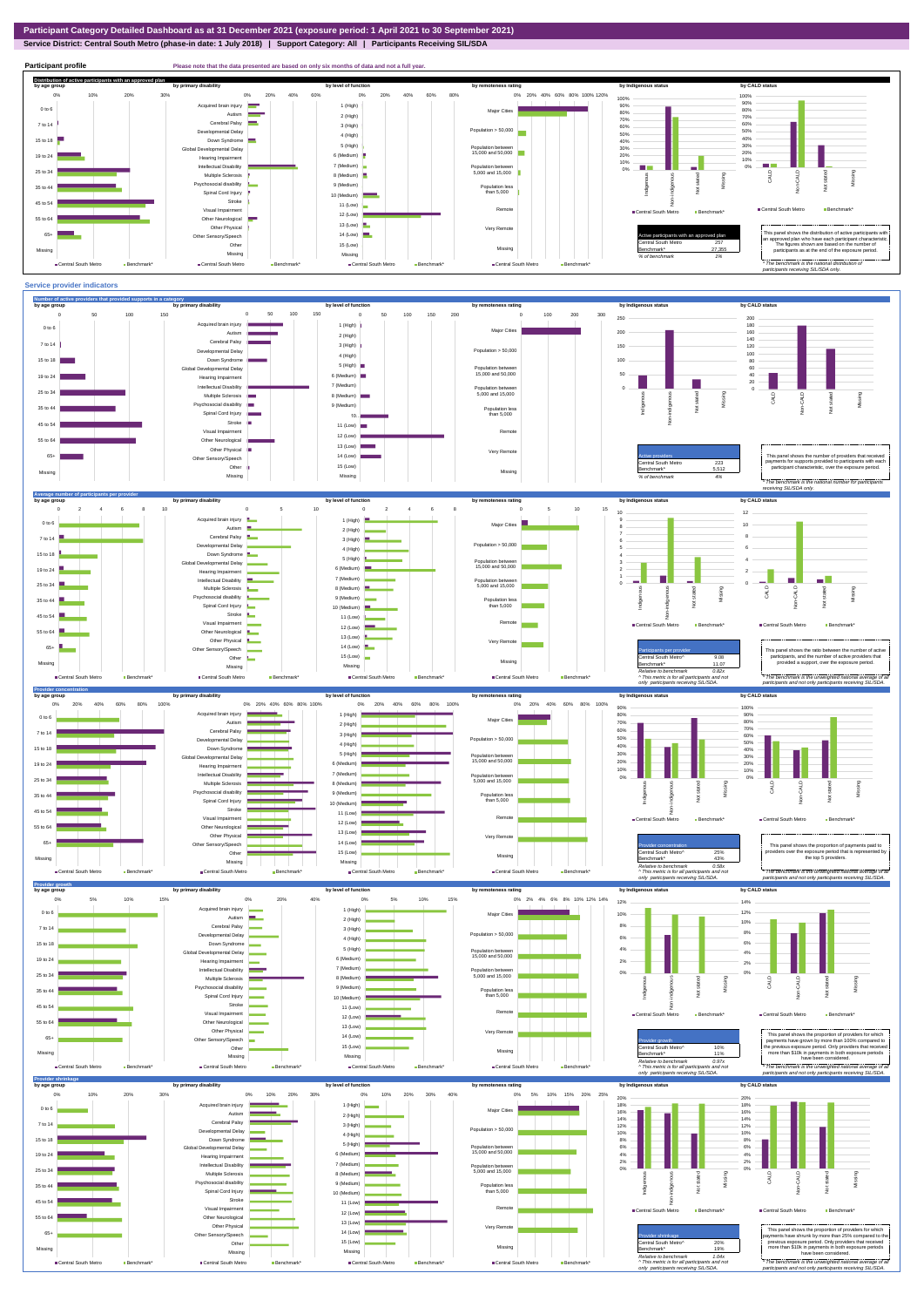## **Service District: Central South Metro (phase-in date: 1 July 2018) | Support Category: All | Participants Receiving SIL/SDA**



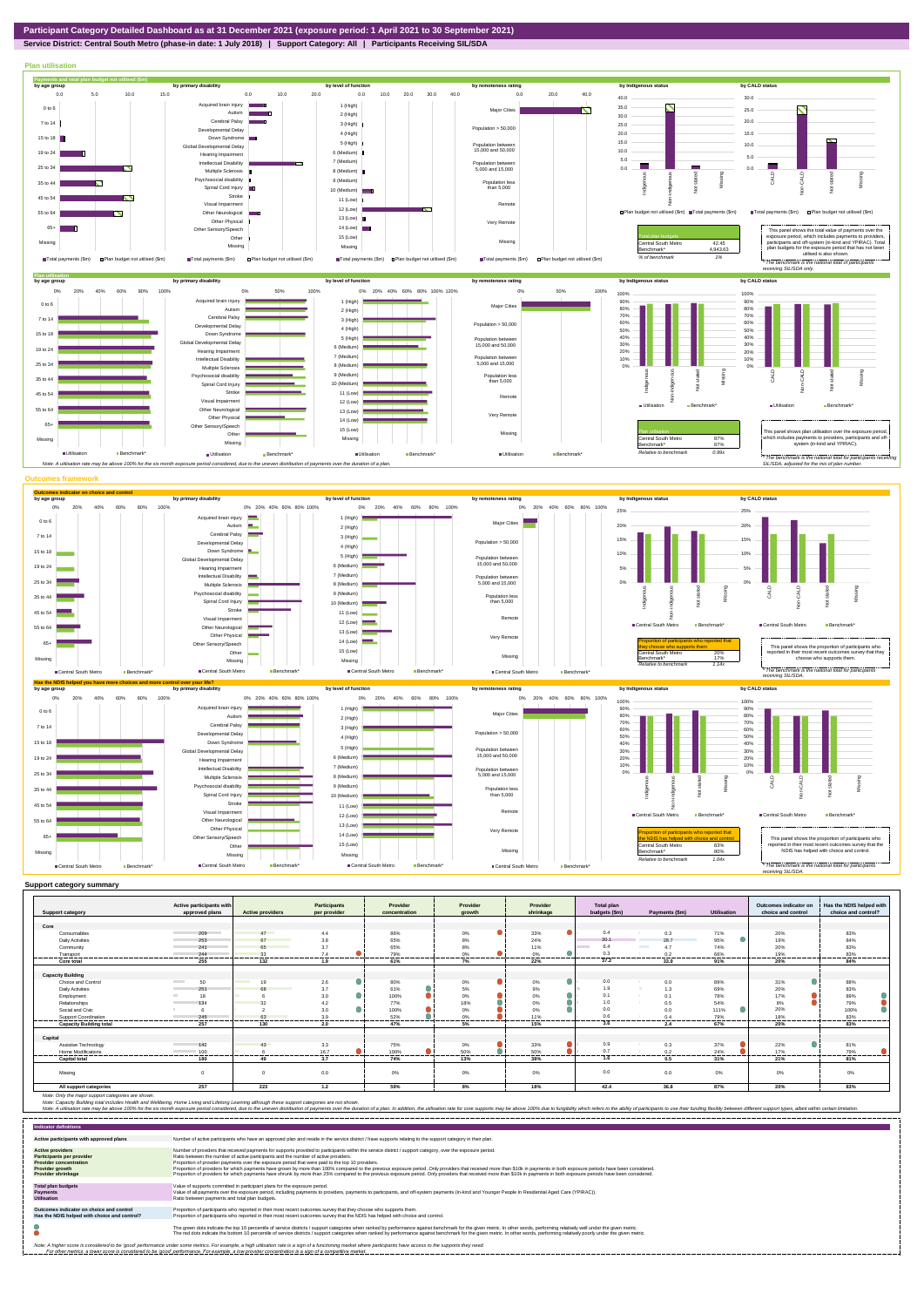

**Service District: Central South Metro (phase-in date: 1 July 2018) | Support Category: All | Participants Receiving SIL/SDA**



|                                | Active participants with |                         | <b>Participants</b> | Provider        | Provider | Provider        | <b>Total plan</b> |                 |                    | Outcomes indicator or | Has the NDIS helped with |
|--------------------------------|--------------------------|-------------------------|---------------------|-----------------|----------|-----------------|-------------------|-----------------|--------------------|-----------------------|--------------------------|
| <b>Support category</b>        | approved plans           | <b>Active providers</b> | per provider        | concentration   | growth   | shrinkage       | budgets (\$m)     | Payments (\$m)  | <b>Utilisation</b> | choice and control    | choice and control?      |
| Core                           |                          |                         |                     |                 |          |                 |                   |                 |                    |                       |                          |
| Consumables                    | 209                      | 47                      | 4.4                 | 86%             | 0%       | 33%             | 0.4               | 0.3             | 71%                | 20%                   | 83%                      |
| <b>Daily Activities</b>        | 253                      | 67                      | 3.8                 | 65%             | 8%       | 24%             | 30.1              | 28.7            | 95%                | 19%                   | 84%                      |
| Community                      | 241                      | 65                      | 3.7                 | 65%             | 8%       | 11%             | 6.4               | 4.7             | 74%                | 20%                   | 83%                      |
| Transport                      | 244                      | 33                      | 7.4                 | 79%             | 0%       | 0%              | 0.3               | 0.2             | 66%                | 19%                   | 83%                      |
| <b>Core total</b>              | .<br>255                 | <br>132                 | <br>1.9             | <br>61%         | .<br>7%  | .<br>22%        | 37.2              | -------<br>33.9 | ------<br>91%      | .<br>20%              | <br>84%                  |
| <b>Capacity Building</b>       |                          |                         |                     |                 |          |                 |                   |                 |                    |                       |                          |
| Choice and Control             | 50<br><b>Contract</b>    | 19                      | 2.6                 | 80%             | 0%       | 0%              | 0.0               | 0.0             | 89%                | 31%                   | 88%                      |
| <b>Daily Activities</b>        | 251                      | 68                      | 3.7                 | 61%             | $5\%$    | 9%              | 1 <sub>q</sub>    | 1.3             | 69%                | 20%                   | 83%                      |
| Employment                     | 18                       |                         | 3.0                 | 100%            | 0%       | 0%              | 0.1               | 0.1             | 78%                | 17%                   | 89%                      |
| Relationships                  | 134                      |                         | 4.2                 | 77%             | 18%      | 0%              | 1.0               | 0.5             | 54%                | 8%                    | 79%                      |
| Social and Civic               |                          |                         | 3.0                 | 100%            | 0%       | 0%              | 0.0               | 0.0             | 111%               | 20%                   | 100%                     |
| Support Coordination           | 245                      | 63                      | 3.9                 | 52%             | 0%       | 11%             | 0.6               | 0.4             | 79%                | 18%                   | 83%                      |
| <b>Capacity Building total</b> | 257                      | .<br>130                | -------<br>2.0      | --------<br>47% | .<br>5%  | --------<br>15% | .<br>3.6          | .<br>2.4        | -------<br>67%     | ---------<br>20%      | ---------<br>83%         |
| Capital                        |                          |                         |                     |                 |          |                 |                   |                 |                    |                       |                          |
| Assistive Technology           | 142                      | 43                      | 3.3                 | 75%             | 0%       | 33%             | 0.9               | 0.3             | 37%                | 22%                   | 81%                      |
| Home Modifications             | 100                      |                         | 16.7                | 100%            | 50%      | 50%             | 0.7               | 0.2             | 24%                | 17%                   | 79%                      |
| <b>Capital total</b>           | 180                      | 49                      | 3.7                 | 74%             | 13%      | 38%             | 1.6               | 0.5             | 31%                | 21%                   | 81%                      |
| Missina                        |                          |                         | 0.0                 | 0%              | 0%       | 0%              | 0.0               | 0.0             | $0\%$              | 0%                    | 0%                       |
| All support categories         | 257                      | 223                     | 1.2                 | 59%             | 8%       | 18%             | 42.4              | 36.8            | 87%                | 20%                   | 83%                      |

| <b>Indicator definitions</b>                                                                                                                 |                                                                                                                                                                                                                                                                                                                                                                                                                                                                                                                                                                                                                                                                                                                                                                                                                 |
|----------------------------------------------------------------------------------------------------------------------------------------------|-----------------------------------------------------------------------------------------------------------------------------------------------------------------------------------------------------------------------------------------------------------------------------------------------------------------------------------------------------------------------------------------------------------------------------------------------------------------------------------------------------------------------------------------------------------------------------------------------------------------------------------------------------------------------------------------------------------------------------------------------------------------------------------------------------------------|
| Active participants with approved plans                                                                                                      | Number of active participants who have an approved plan and reside in the service district / have supports relating to the support category in their plan.                                                                                                                                                                                                                                                                                                                                                                                                                                                                                                                                                                                                                                                      |
| <b>Active providers</b><br>Participants per provider<br><b>Provider concentration</b><br><b>Provider growth</b><br><b>Provider shrinkage</b> | Number of providers that received payments for supports provided to participants within the service district / support category, over the exposure period,<br>Ratio between the number of active participants and the number of active providers.<br>Proportion of provider payments over the exposure period that were paid to the top 10 providers.<br>Proportion of providers for which payments have grown by more than 100% compared to the previous exposure period. Only providers that received more than \$10k in payments in both exposure periods have been considered.<br>Proportion of providers for which payments have shrunk by more than 25% compared to the previous exposure period. Only providers that received more than \$10k in payments in both exposure periods have been considered. |
| <b>Total plan budgets</b><br>Payments<br><b>Utilisation</b>                                                                                  | Value of supports committed in participant plans for the exposure period.<br>Value of all payments over the exposure period, including payments to providers, payments to participants, and off-system payments (in-kind and Younger People In Residential Aged Care (YPIRAC)).<br>Ratio between payments and total plan budgets.                                                                                                                                                                                                                                                                                                                                                                                                                                                                               |
| Outcomes indicator on choice and control<br>Has the NDIS helped with choice and control?                                                     | Proportion of participants who reported in their most recent outcomes survey that they choose who supports them.<br>Proportion of participants who reported in their most recent outcomes survey that the NDIS has helped with choice and control.                                                                                                                                                                                                                                                                                                                                                                                                                                                                                                                                                              |
|                                                                                                                                              | The green dots indicate the top 10 percentile of service districts / support categories when ranked by performance against benchmark for the given metric. In other words, performing relatively well under the given metric.<br>The red dots indicate the bottom 10 percentile of service districts / support categories when ranked by performance against benchmark for the given metric. In other words, performing relatively poorly under the given metri                                                                                                                                                                                                                                                                                                                                                 |
|                                                                                                                                              | Note: A higher score is considered to be 'good' performance under some metrics. For example, a high utilisation rate is a sign of a functioning market where participants have access to the supports they need.<br>For other metrics, a lower score is considered to be 'good' performance. For example, a low provider concentration is a sign of a competitive market.                                                                                                                                                                                                                                                                                                                                                                                                                                       |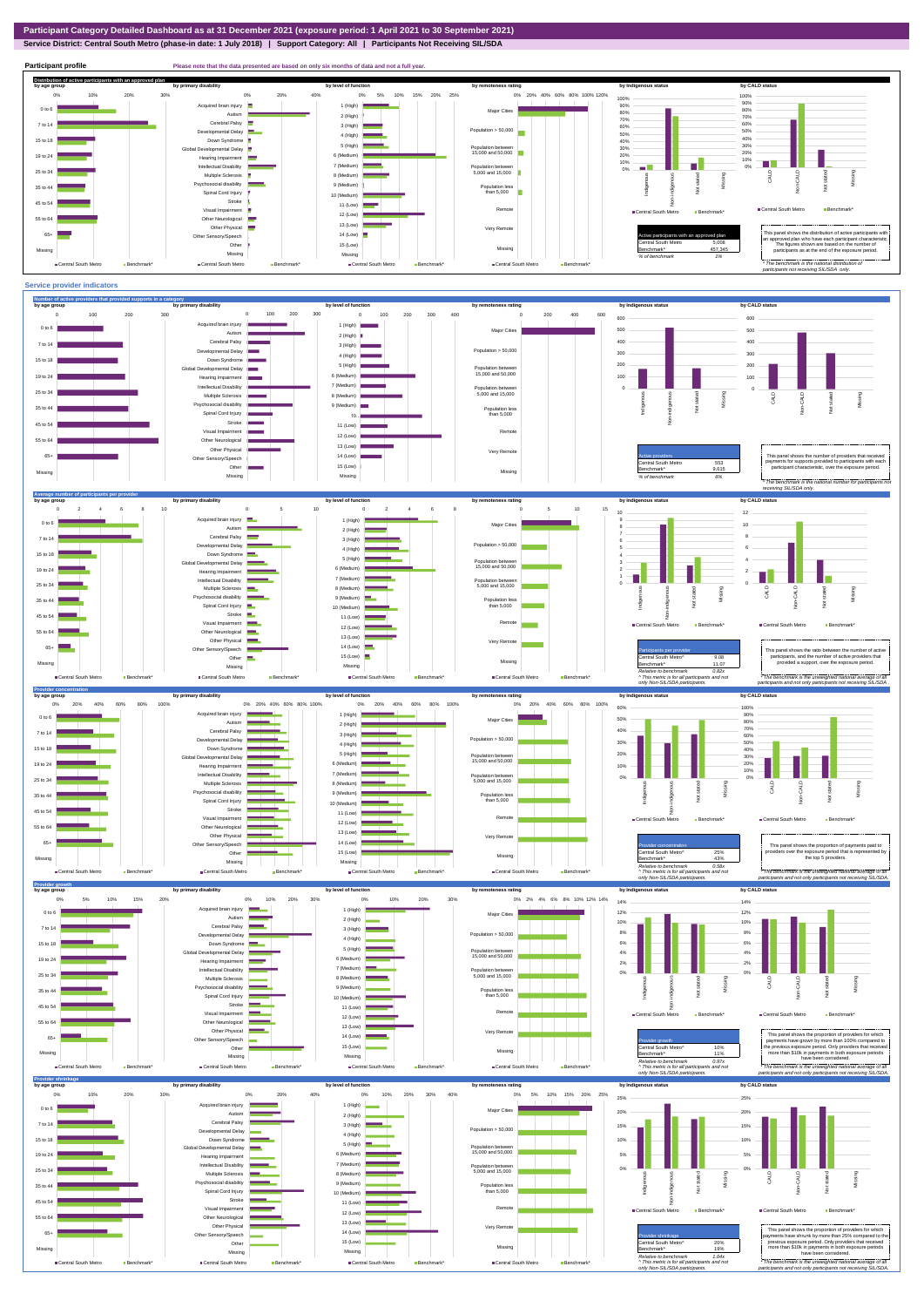**Service District: Central South Metro (phase-in date: 1 July 2018) | Support Category: All | Participants Not Receiving SIL/SDA**



**Participant profile Please note that the data presented are based on only six months of data and not a full year. Distribution of active participants with an approved plan** by age group by primary disability by remoteness rating by hdigenous status by CALD status 0% 5% 10% 15% 20% 25% 0% 20% 40% 60% 80% 100% 120% 0% 10% 20% 30% 0% 20% 40% 100% 100% ed brain injury 90% 1 (High) 80% 90% 0 to 6  $\mathcal{L}_{\mathcal{A}}$ Major Cities 80% Autism **I** 2 (High) 70% 70% Cerebral Palsy 60% 7 to 14 3 (High) Developmental Delay 50% 60% Population > 50,000 m 4 (High) 40% 50% 15 to 18 Down Syndrome 5 (High) 30% 40% 30% Global Developmental Delay Population between 15,000 and 50,000 20% 6 (Medium) 19 to 24 Hearing Impairment 20% 10% 10% **COLOR** 7 (Medium) Intellectual Disability **STA** ш 0% Population between 5,000 and 15,000 0% 25 to 34 Multiple Sclerosis 8 (Medium) CALD Non-CALD Missing digenous Not stated Non-indigenous .<br>cial disability Missing 9 (Medium) 35 to 44 Population less than 5,000 nstated in 1916.<br>Note Spinal Cord Injury п i<br>Tei 10 (Medium) Stroke 45 to 54 11 (Low) å Central South Metro Benchmark\* Visual Impairment Remote Central South Metro Benchmark 12 (Low) 55 to 64 Other Neurological 13 (Low) Other Physical Very Remote Active participants with an approved plan This panel shows the distribution of active participants with an approved plan who have each participant characteristic. 65+ Sensory/Speech 14 (Low) Other 15 (Low) Central South Metro 5,008 The figures shown are based on the number of participants as at the end of the exposure period. Missing Benchmark\* 457,345 Missing Missing Missing *% of benchmark 1%* ■ Central South Metro Benchmark\* Central South Metro Benchmark\* Central South Metro Central South Metro Bench *\* The benchmark is the national distribution of participants not receiving SIL/SDA only.*